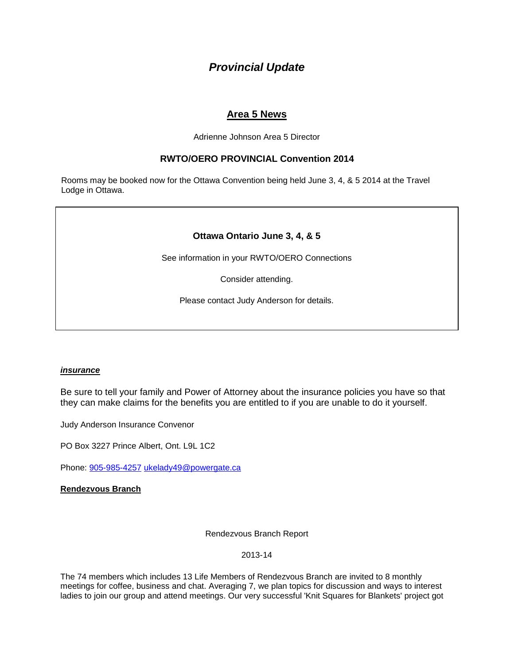# *Provincial Update*

## **Area 5 News**

Adrienne Johnson Area 5 Director

### **RWTO/OERO PROVINCIAL Convention 2014**

Rooms may be booked now for the Ottawa Convention being held June 3, 4, & 5 2014 at the Travel Lodge in Ottawa.

## **Ottawa Ontario June 3, 4, & 5**

See information in your RWTO/OERO Connections

Consider attending.

Please contact Judy Anderson for details.

#### *insurance*

Be sure to tell your family and Power of Attorney about the insurance policies you have so that they can make claims for the benefits you are entitled to if you are unable to do it yourself.

Judy Anderson Insurance Convenor

PO Box 3227 Prince Albert, Ont. L9L 1C2

Phone: [905-985-4257](tel:905-985-4257) [ukelady49@powergate.ca](mailto:ukelady49@powergate.ca)

#### **Rendezvous Branch**

Rendezvous Branch Report

2013-14

The 74 members which includes 13 Life Members of Rendezvous Branch are invited to 8 monthly meetings for coffee, business and chat. Averaging 7, we plan topics for discussion and ways to interest ladies to join our group and attend meetings. Our very successful 'Knit Squares for Blankets' project got